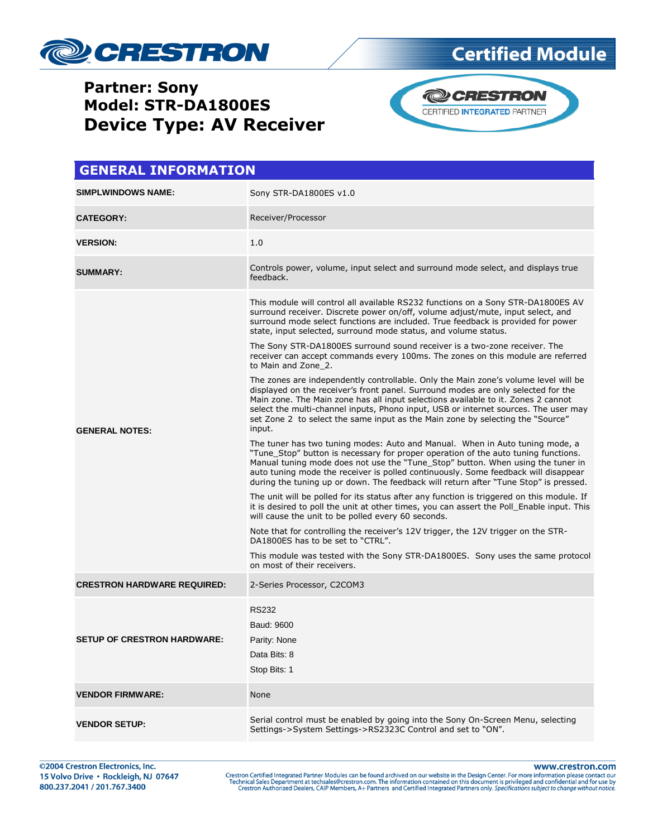

**Device Type: AV Receiver**

# **Partner: Sony Model: STR-DA1800ES**





| <b>GENERAL INFORMATION</b>         |                                                                                                                                                                                                                                                                                                                                                                                                                                                  |  |
|------------------------------------|--------------------------------------------------------------------------------------------------------------------------------------------------------------------------------------------------------------------------------------------------------------------------------------------------------------------------------------------------------------------------------------------------------------------------------------------------|--|
| <b>SIMPLWINDOWS NAME:</b>          | Sony STR-DA1800ES v1.0                                                                                                                                                                                                                                                                                                                                                                                                                           |  |
| <b>CATEGORY:</b>                   | Receiver/Processor                                                                                                                                                                                                                                                                                                                                                                                                                               |  |
| <b>VERSION:</b>                    | 1.0                                                                                                                                                                                                                                                                                                                                                                                                                                              |  |
| <b>SUMMARY:</b>                    | Controls power, volume, input select and surround mode select, and displays true<br>feedback.                                                                                                                                                                                                                                                                                                                                                    |  |
| <b>GENERAL NOTES:</b>              | This module will control all available RS232 functions on a Sony STR-DA1800ES AV<br>surround receiver. Discrete power on/off, volume adjust/mute, input select, and<br>surround mode select functions are included. True feedback is provided for power<br>state, input selected, surround mode status, and volume status.                                                                                                                       |  |
|                                    | The Sony STR-DA1800ES surround sound receiver is a two-zone receiver. The<br>receiver can accept commands every 100ms. The zones on this module are referred<br>to Main and Zone 2.                                                                                                                                                                                                                                                              |  |
|                                    | The zones are independently controllable. Only the Main zone's volume level will be<br>displayed on the receiver's front panel. Surround modes are only selected for the<br>Main zone. The Main zone has all input selections available to it. Zones 2 cannot<br>select the multi-channel inputs, Phono input, USB or internet sources. The user may<br>set Zone 2 to select the same input as the Main zone by selecting the "Source"<br>input. |  |
|                                    | The tuner has two tuning modes: Auto and Manual. When in Auto tuning mode, a<br>"Tune Stop" button is necessary for proper operation of the auto tuning functions.<br>Manual tuning mode does not use the "Tune_Stop" button. When using the tuner in<br>auto tuning mode the receiver is polled continuously. Some feedback will disappear<br>during the tuning up or down. The feedback will return after "Tune Stop" is pressed.              |  |
|                                    | The unit will be polled for its status after any function is triggered on this module. If<br>it is desired to poll the unit at other times, you can assert the Poll Enable input. This<br>will cause the unit to be polled every 60 seconds.                                                                                                                                                                                                     |  |
|                                    | Note that for controlling the receiver's 12V trigger, the 12V trigger on the STR-<br>DA1800ES has to be set to "CTRL".                                                                                                                                                                                                                                                                                                                           |  |
|                                    | This module was tested with the Sony STR-DA1800ES. Sony uses the same protocol<br>on most of their receivers.                                                                                                                                                                                                                                                                                                                                    |  |
| <b>CRESTRON HARDWARE REQUIRED:</b> | 2-Series Processor, C2COM3                                                                                                                                                                                                                                                                                                                                                                                                                       |  |
| <b>SETUP OF CRESTRON HARDWARE:</b> | <b>RS232</b><br>Baud: 9600<br>Parity: None                                                                                                                                                                                                                                                                                                                                                                                                       |  |
|                                    | Data Bits: 8<br>Stop Bits: 1                                                                                                                                                                                                                                                                                                                                                                                                                     |  |
| <b>VENDOR FIRMWARE:</b>            | None                                                                                                                                                                                                                                                                                                                                                                                                                                             |  |
| <b>VENDOR SETUP:</b>               | Serial control must be enabled by going into the Sony On-Screen Menu, selecting<br>Settings->System Settings->RS2323C Control and set to "ON".                                                                                                                                                                                                                                                                                                   |  |

www.crestron.com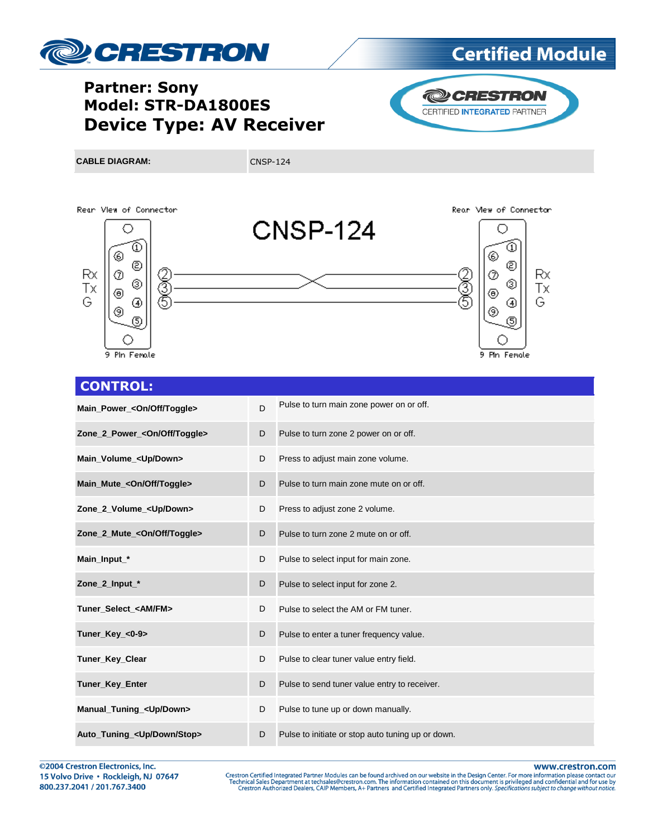

# **Certified Module**

### **Partner: Sony Model: STR-DA1800ES Device Type: AV Receiver**



**CABLE DIAGRAM:** CNSP-124





#### จ ℗ Rx. ⊚ Тx



#### **CONTROL:**

| Main_Power_ <on off="" toggle=""></on>   | D | Pulse to turn main zone power on or off.          |
|------------------------------------------|---|---------------------------------------------------|
| Zone_2_Power_ <on off="" toggle=""></on> | D | Pulse to turn zone 2 power on or off.             |
| Main_Volume_ <up down=""></up>           | D | Press to adjust main zone volume.                 |
| Main_Mute_ <on off="" toggle=""></on>    | D | Pulse to turn main zone mute on or off.           |
| Zone_2_Volume_ <up down=""></up>         | D | Press to adjust zone 2 volume.                    |
| Zone 2 Mute_<0n/Off/Toggle>              | D | Pulse to turn zone 2 mute on or off.              |
| Main_Input_*                             | D | Pulse to select input for main zone.              |
| Zone_2_Input_*                           | D | Pulse to select input for zone 2.                 |
| Tuner Select <am fm=""></am>             | D | Pulse to select the AM or FM tuner.               |
| Tuner Key <0-9>                          | D | Pulse to enter a tuner frequency value.           |
| Tuner_Key_Clear                          | D | Pulse to clear tuner value entry field.           |
| Tuner_Key_Enter                          | D | Pulse to send tuner value entry to receiver.      |
| Manual_Tuning_ <up down=""></up>         | D | Pulse to tune up or down manually.                |
| Auto_Tuning_ <up down="" stop=""></up>   | D | Pulse to initiate or stop auto tuning up or down. |

@2004 Crestron Electronics, Inc. 15 Volvo Drive · Rockleigh, NJ 07647 800.237.2041 / 201.767.3400

www.crestron.com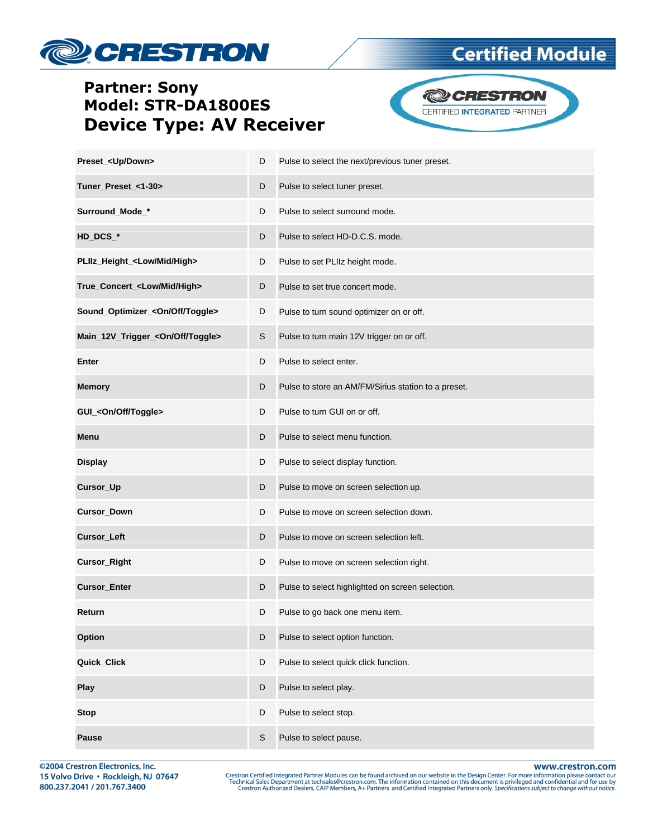

### **Partner: Sony Model: STR-DA1800ES Device Type: AV Receiver**



**Certified Module** 

| Preset_ <up down=""></up>                    | D           | Pulse to select the next/previous tuner preset.     |
|----------------------------------------------|-------------|-----------------------------------------------------|
| Tuner_Preset_<1-30>                          | D           | Pulse to select tuner preset.                       |
| Surround_Mode_*                              | D           | Pulse to select surround mode.                      |
| HD_DCS_*                                     | D           | Pulse to select HD-D.C.S. mode.                     |
| PLIIz_Height_ <low high="" mid=""></low>     | D           | Pulse to set PLIIz height mode.                     |
| True_Concert_ <low high="" mid=""></low>     | D           | Pulse to set true concert mode.                     |
| Sound_Optimizer_ <on off="" toggle=""></on>  | D           | Pulse to turn sound optimizer on or off.            |
| Main_12V_Trigger_ <on off="" toggle=""></on> | S           | Pulse to turn main 12V trigger on or off.           |
| Enter                                        | D           | Pulse to select enter.                              |
| <b>Memory</b>                                | D           | Pulse to store an AM/FM/Sirius station to a preset. |
| GUI_ <on off="" toggle=""></on>              | D           | Pulse to turn GUI on or off.                        |
| Menu                                         | D           | Pulse to select menu function.                      |
| <b>Display</b>                               | D           | Pulse to select display function.                   |
| Cursor_Up                                    | D           | Pulse to move on screen selection up.               |
| Cursor_Down                                  | D           | Pulse to move on screen selection down.             |
| <b>Cursor_Left</b>                           | D           | Pulse to move on screen selection left.             |
| <b>Cursor_Right</b>                          | D           | Pulse to move on screen selection right.            |
| <b>Cursor_Enter</b>                          | D           | Pulse to select highlighted on screen selection.    |
| Return                                       | D           | Pulse to go back one menu item.                     |
| Option                                       | D           | Pulse to select option function.                    |
| Quick_Click                                  | D           | Pulse to select quick click function.               |
| Play                                         | D           | Pulse to select play.                               |
| <b>Stop</b>                                  | D           | Pulse to select stop.                               |
| Pause                                        | $\mathbb S$ | Pulse to select pause.                              |

@2004 Crestron Electronics, Inc. 15 Volvo Drive · Rockleigh, NJ 07647 800.237.2041 / 201.767.3400

www.crestron.com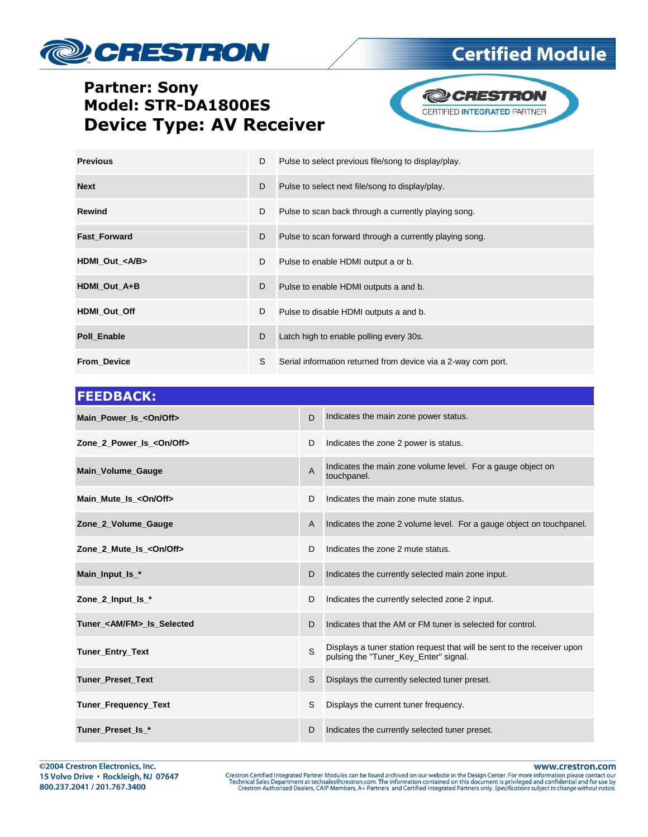# **DECRESTRON**

## **Certified Module**

### **Partner: Sony** Model: STR-DA1800ES **Device Type: AV Receiver**



| <b>Previous</b>        | D | Pulse to select previous file/song to display/play.           |
|------------------------|---|---------------------------------------------------------------|
| <b>Next</b>            | D | Pulse to select next file/song to display/play.               |
| <b>Rewind</b>          | D | Pulse to scan back through a currently playing song.          |
| <b>Fast Forward</b>    | D | Pulse to scan forward through a currently playing song.       |
| HDMI_Out_ <a b=""></a> | D | Pulse to enable HDMI output a or b.                           |
| HDMI Out A+B           | D | Pulse to enable HDMI outputs a and b.                         |
| HDMI Out Off           | D | Pulse to disable HDMI outputs a and b.                        |
| Poll Enable            | D | Latch high to enable polling every 30s.                       |
| <b>From Device</b>     | S | Serial information returned from device via a 2-way com port. |

| <b>FEEDBACK:</b>                  |                |                                                                                                                  |
|-----------------------------------|----------------|------------------------------------------------------------------------------------------------------------------|
| Main_Power_Is_ <on off=""></on>   | D              | Indicates the main zone power status.                                                                            |
| Zone 2 Power Is < On/Off>         | D              | Indicates the zone 2 power is status.                                                                            |
| <b>Main_Volume_Gauge</b>          | $\overline{A}$ | Indicates the main zone volume level. For a gauge object on<br>touchpanel.                                       |
| Main_Mute_Is_ <on off=""></on>    | D              | Indicates the main zone mute status.                                                                             |
| Zone 2 Volume Gauge               | $\mathsf{A}$   | Indicates the zone 2 volume level. For a gauge object on touchpanel.                                             |
| Zone 2 Mute Is <0n/0ff>           | D              | Indicates the zone 2 mute status.                                                                                |
| Main_Input_Is_*                   | D              | Indicates the currently selected main zone input.                                                                |
| Zone 2_Input_Is_*                 | D              | Indicates the currently selected zone 2 input.                                                                   |
| Tuner <am fm=""> Is Selected</am> | D              | Indicates that the AM or FM tuner is selected for control.                                                       |
| Tuner_Entry_Text                  | S              | Displays a tuner station request that will be sent to the receiver upon<br>pulsing the "Tuner Key Enter" signal. |
| <b>Tuner Preset Text</b>          | S              | Displays the currently selected tuner preset.                                                                    |
| Tuner_Frequency_Text              | S              | Displays the current tuner frequency.                                                                            |
| Tuner Preset Is *                 | D              | Indicates the currently selected tuner preset.                                                                   |

www.crestron.com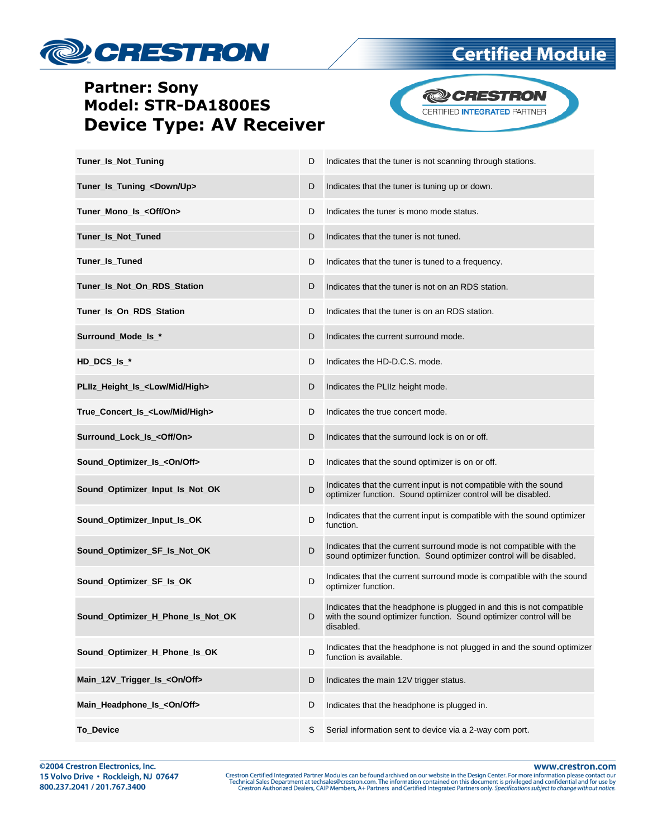

### **Partner: Sony Model: STR-DA1800ES Device Type: AV Receiver**



**Certified Module** 

| Tuner_Is_Not_Tuning                        | D | Indicates that the tuner is not scanning through stations.                                                                                               |
|--------------------------------------------|---|----------------------------------------------------------------------------------------------------------------------------------------------------------|
| Tuner_Is_Tuning_ <down up=""></down>       | D | Indicates that the tuner is tuning up or down.                                                                                                           |
| Tuner_Mono_Is_ <off on=""></off>           | D | Indicates the tuner is mono mode status.                                                                                                                 |
| Tuner_Is_Not_Tuned                         | D | Indicates that the tuner is not tuned.                                                                                                                   |
| Tuner_Is_Tuned                             | D | Indicates that the tuner is tuned to a frequency.                                                                                                        |
| Tuner_Is_Not_On_RDS_Station                | D | Indicates that the tuner is not on an RDS station.                                                                                                       |
| Tuner_Is_On_RDS_Station                    | D | Indicates that the tuner is on an RDS station.                                                                                                           |
| Surround_Mode_Is_*                         | D | Indicates the current surround mode.                                                                                                                     |
| HD_DCS_Is_*                                | D | Indicates the HD-D.C.S. mode.                                                                                                                            |
| PLIIz Height Is <low high="" mid=""></low> | D | Indicates the PLIIz height mode.                                                                                                                         |
| True Concert Is <low high="" mid=""></low> | D | Indicates the true concert mode.                                                                                                                         |
| Surround_Lock_Is_ <off on=""></off>        | D | Indicates that the surround lock is on or off.                                                                                                           |
| Sound_Optimizer_Is_ <on off=""></on>       | D | Indicates that the sound optimizer is on or off.                                                                                                         |
| Sound_Optimizer_Input_Is_Not_OK            | D | Indicates that the current input is not compatible with the sound<br>optimizer function. Sound optimizer control will be disabled.                       |
| Sound_Optimizer_Input_Is_OK                | D | Indicates that the current input is compatible with the sound optimizer<br>function.                                                                     |
| Sound_Optimizer_SF_Is_Not_OK               | D | Indicates that the current surround mode is not compatible with the<br>sound optimizer function. Sound optimizer control will be disabled.               |
| Sound_Optimizer_SF_Is_OK                   | D | Indicates that the current surround mode is compatible with the sound<br>optimizer function.                                                             |
| Sound_Optimizer_H_Phone_Is_Not_OK          | D | Indicates that the headphone is plugged in and this is not compatible<br>with the sound optimizer function. Sound optimizer control will be<br>disabled. |
| Sound_Optimizer_H_Phone_Is_OK              | D | Indicates that the headphone is not plugged in and the sound optimizer<br>function is available.                                                         |
| Main_12V_Trigger_Is_ <on off=""></on>      | D | Indicates the main 12V trigger status.                                                                                                                   |
| Main_Headphone_Is_ <on off=""></on>        | D | Indicates that the headphone is plugged in.                                                                                                              |
| To_Device                                  | S | Serial information sent to device via a 2-way com port.                                                                                                  |

www.crestron.com